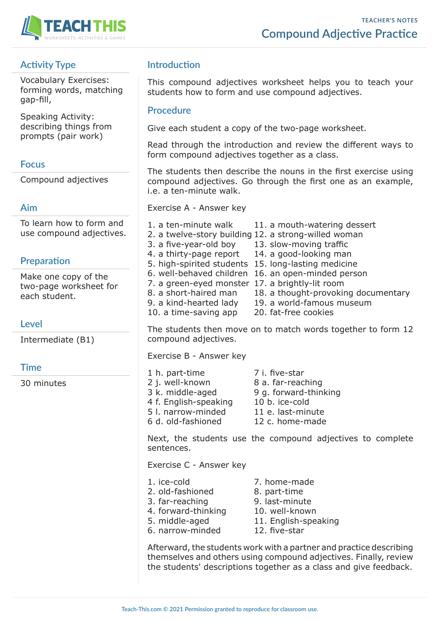

# **Activity Type**

Vocabulary Exercises: forming words, matching gap-fill,

Speaking Activity: describing things from prompts (pair work)

### **Focus**

Compound adjectives

## **Aim**

To learn how to form and use compound adjectives.

## **Preparation**

Make one copy of the two-page worksheet for each student.

## **Level**

Intermediate (B1)

## **Time**

30 minutes

# **Introduction**

This compound adjectives worksheet helps you to teach your students how to form and use compound adjectives.

### **Procedure**

Give each student a copy of the two-page worksheet.

Read through the introduction and review the different ways to form compound adjectives together as a class.

The students then describe the nouns in the first exercise using compound adjectives. Go through the first one as an example, i.e. a ten-minute walk.

Exercise A - Answer key

1. a ten-minute walk 11. a mouth-watering dessert 2. a twelve-story building 12. a strong-willed woman 3. a five-year-old boy 13. slow-moving traffic 4. a thirty-page report 14. a good-looking man 5. high-spirited students 15. long-lasting medicine 6. well-behaved children 16. an open-minded person 7. a green-eyed monster 17. a brightly-lit room 8. a short-haired man 18. a thought-provoking documentary 9. a kind-hearted lady 19. a world-famous museum 10. a time-saving app 20. fat-free cookies

The students then move on to match words together to form 12 compound adjectives.

Exercise B - Answer key

1 h. part-time 7 i. five-star 2 j. well-known 8 a. far-reaching 3 k. middle-aged 9 g. forward-thinking 4 f. English-speaking 10 b. ice-cold 5 l. narrow-minded 11 e. last-minute 6 d. old-fashioned 12 c. home-made

Next, the students use the compound adjectives to complete sentences.

Exercise C - Answer key

- 
- 1. ice-cold 7. home-made
- 2. old-fashioned 8. part-time
	-
- 3. far-reaching 9. last-minute
- 4. forward-thinking 10. well-known
- 
- 6. narrow-minded 12. five-star
- 5. middle-aged 11. English-speaking
	-

Afterward, the students work with a partner and practice describing themselves and others using compound adjectives. Finally, review the students' descriptions together as a class and give feedback.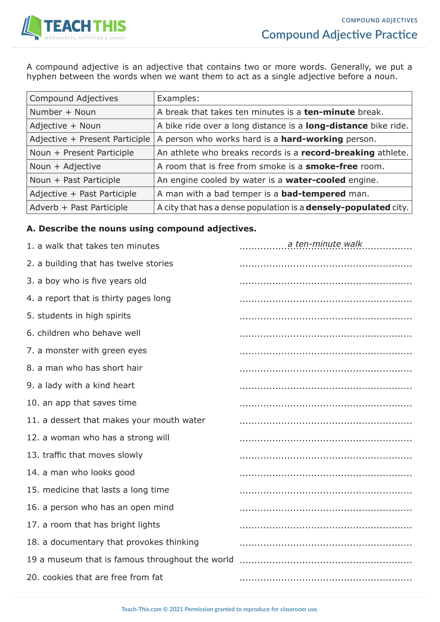

A compound adjective is an adjective that contains two or more words. Generally, we put a hyphen between the words when we want them to act as a single adjective before a noun.

| <b>Compound Adjectives</b>     | Examples:                                                              |
|--------------------------------|------------------------------------------------------------------------|
| Number + Noun                  | A break that takes ten minutes is a <b>ten-minute</b> break.           |
| Adjective + Noun               | A bike ride over a long distance is a <b>long-distance</b> bike ride.  |
| Adjective + Present Participle | A person who works hard is a <b>hard-working</b> person.               |
| Noun + Present Participle      | An athlete who breaks records is a record-breaking athlete.            |
| Noun + Adjective               | A room that is free from smoke is a <b>smoke-free</b> room.            |
| Noun + Past Participle         | An engine cooled by water is a <b>water-cooled</b> engine.             |
| Adjective + Past Participle    | A man with a bad temper is a <b>bad-tempered</b> man.                  |
| Adverb + Past Participle       | A city that has a dense population is a <b>densely-populated</b> city. |

### **A. Describe the nouns using compound adjectives.**

| 1. a walk that takes ten minutes                | a ten-minute walk |
|-------------------------------------------------|-------------------|
| 2. a building that has twelve stories           |                   |
| 3. a boy who is five years old                  |                   |
| 4. a report that is thirty pages long           |                   |
| 5. students in high spirits                     |                   |
| 6. children who behave well                     |                   |
| 7. a monster with green eyes                    |                   |
| 8. a man who has short hair                     |                   |
| 9. a lady with a kind heart                     |                   |
| 10. an app that saves time                      |                   |
| 11. a dessert that makes your mouth water       |                   |
| 12. a woman who has a strong will               |                   |
| 13. traffic that moves slowly                   |                   |
| 14. a man who looks good                        |                   |
| 15. medicine that lasts a long time             |                   |
| 16. a person who has an open mind               |                   |
| 17. a room that has bright lights               |                   |
| 18. a documentary that provokes thinking        |                   |
| 19 a museum that is famous throughout the world |                   |
| 20. cookies that are free from fat              |                   |